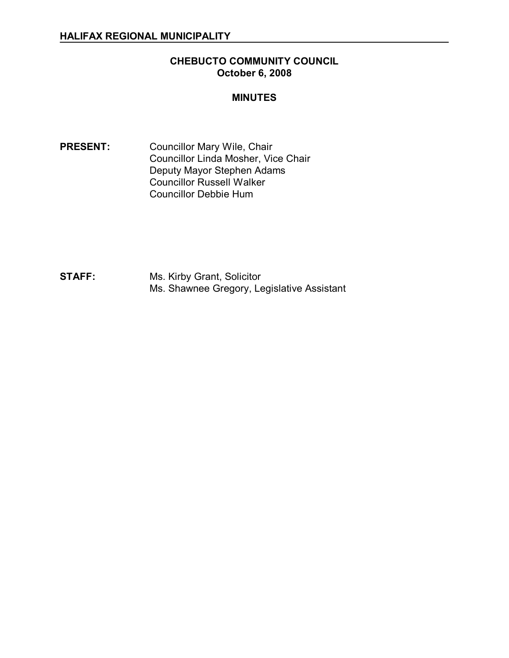## **CHEBUCTO COMMUNITY COUNCIL October 6, 2008**

#### **MINUTES**

PRESENT: Councillor Mary Wile, Chair Councillor Linda Mosher, Vice Chair Deputy Mayor Stephen Adams Councillor Russell Walker Councillor Debbie Hum

**STAFF:** Ms. Kirby Grant, Solicitor Ms. Shawnee Gregory, Legislative Assistant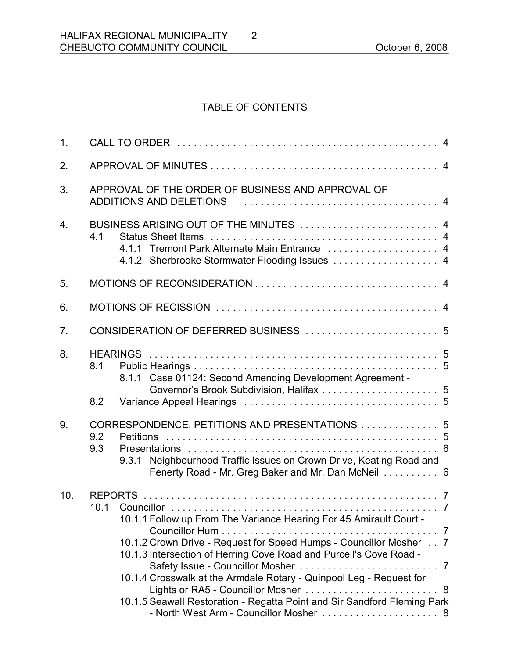# TABLE OF CONTENTS

2

| 1.               |                                                                                                                                                                                                                                                                                                                                                                                                           |  |
|------------------|-----------------------------------------------------------------------------------------------------------------------------------------------------------------------------------------------------------------------------------------------------------------------------------------------------------------------------------------------------------------------------------------------------------|--|
| 2.               |                                                                                                                                                                                                                                                                                                                                                                                                           |  |
| 3.               | APPROVAL OF THE ORDER OF BUSINESS AND APPROVAL OF<br>ADDITIONS AND DELETIONS                                                                                                                                                                                                                                                                                                                              |  |
| $\overline{4}$ . | BUSINESS ARISING OUT OF THE MINUTES  4<br>4.1<br>4.1.1 Tremont Park Alternate Main Entrance  4<br>4.1.2 Sherbrooke Stormwater Flooding Issues  4                                                                                                                                                                                                                                                          |  |
| 5.               |                                                                                                                                                                                                                                                                                                                                                                                                           |  |
| 6.               |                                                                                                                                                                                                                                                                                                                                                                                                           |  |
| 7.               |                                                                                                                                                                                                                                                                                                                                                                                                           |  |
| 8.               | 8.1<br>8.1.1 Case 01124: Second Amending Development Agreement -                                                                                                                                                                                                                                                                                                                                          |  |
|                  | 8.2                                                                                                                                                                                                                                                                                                                                                                                                       |  |
| 9.               | CORRESPONDENCE, PETITIONS AND PRESENTATIONS  5<br>9.2<br>9.3<br>9.3.1 Neighbourhood Traffic Issues on Crown Drive, Keating Road and<br>Fenerty Road - Mr. Greg Baker and Mr. Dan McNeil 6                                                                                                                                                                                                                 |  |
| 10.              | 10.1.1 Follow up From The Variance Hearing For 45 Amirault Court -<br>10.1.2 Crown Drive - Request for Speed Humps - Councillor Mosher 7<br>10.1.3 Intersection of Herring Cove Road and Purcell's Cove Road -<br>10.1.4 Crosswalk at the Armdale Rotary - Quinpool Leg - Request for<br>Lights or RA5 - Councillor Mosher  8<br>10.1.5 Seawall Restoration - Regatta Point and Sir Sandford Fleming Park |  |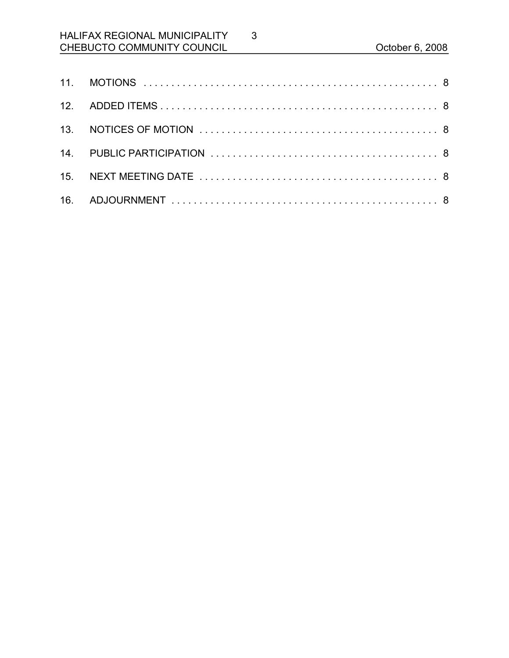# HALIFAX REGIONAL MUNICIPALITY CHEBUCTO COMMUNITY COUNCIL CHEBUCTO COMMUNITY COUNCIL

3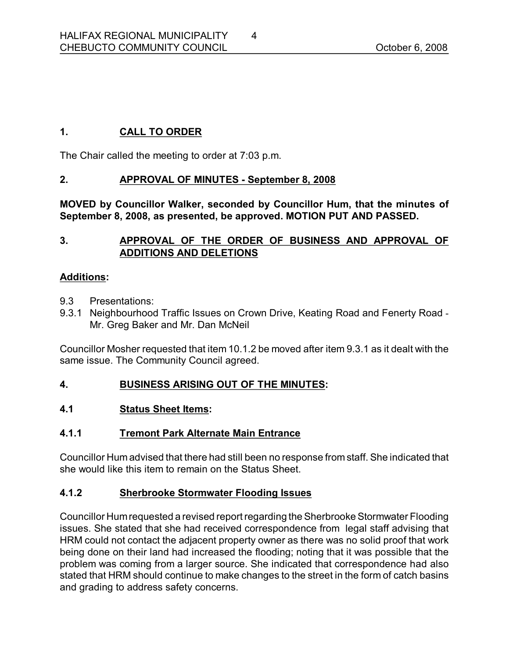# **1. CALL TO ORDER**

The Chair called the meeting to order at 7:03 p.m.

## **2. APPROVAL OF MINUTES September 8, 2008**

**MOVED by Councillor Walker, seconded by Councillor Hum, that the minutes of September 8, 2008, as presented, be approved. MOTION PUT AND PASSED.** 

## **3. APPROVAL OF THE ORDER OF BUSINESS AND APPROVAL OF ADDITIONS AND DELETIONS**

#### **Additions:**

- 9.3 Presentations:
- 9.3.1 Neighbourhood Traffic Issues on Crown Drive, Keating Road and Fenerty Road -Mr. Greg Baker and Mr. Dan McNeil

Councillor Mosher requested that item 10.1.2 be moved after item 9.3.1 as it dealt with the same issue. The Community Council agreed.

#### **4. BUSINESS ARISING OUT OF THE MINUTES:**

#### **4.1 Status Sheet Items:**

# **4.1.1 Tremont Park Alternate Main Entrance**

Councillor Hum advised that there had still been no response from staff. She indicated that she would like this item to remain on the Status Sheet.

#### **4.1.2 Sherbrooke Stormwater Flooding Issues**

Councillor Humrequested a revised report regarding the Sherbrooke Stormwater Flooding issues. She stated that she had received correspondence from legal staff advising that HRM could not contact the adjacent property owner as there was no solid proof that work being done on their land had increased the flooding; noting that it was possible that the problem was coming from a larger source. She indicated that correspondence had also stated that HRM should continue to make changes to the street in the form of catch basins and grading to address safety concerns.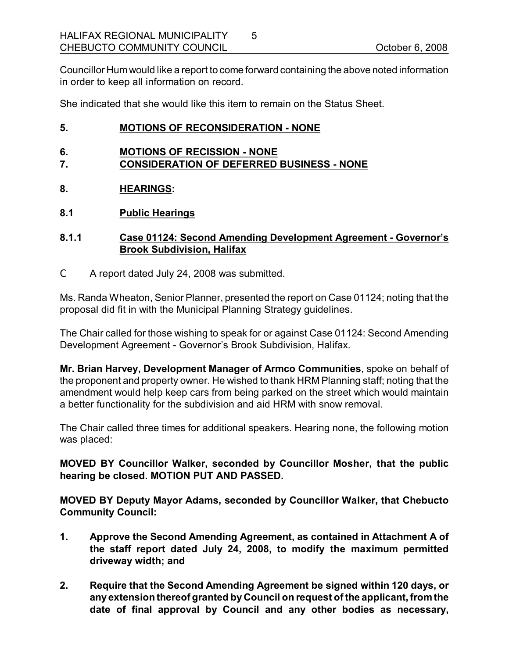Councillor Hum would like a report to come forward containing the above noted information in order to keep all information on record.

5

She indicated that she would like this item to remain on the Status Sheet.

#### **5. MOTIONS OF RECONSIDERATION NONE**

- **6. MOTIONS OF RECISSION NONE**
- **7. CONSIDERATION OF DEFERRED BUSINESS NONE**
- **8. HEARINGS:**
- **8.1 Public Hearings**

#### **8.1.1 Case 01124: Second Amending Development Agreement Governor's Brook Subdivision, Halifax**

C A report dated July 24, 2008 was submitted.

Ms. Randa Wheaton, Senior Planner, presented the report on Case 01124; noting that the proposal did fit in with the Municipal Planning Strategy guidelines.

The Chair called for those wishing to speak for or against Case 01124: Second Amending Development Agreement - Governor's Brook Subdivision, Halifax.

**Mr. Brian Harvey, Development Manager of Armco Communities**, spoke on behalf of the proponent and property owner. He wished to thank HRM Planning staff; noting that the amendment would help keep cars from being parked on the street which would maintain a better functionality for the subdivision and aid HRM with snow removal.

The Chair called three times for additional speakers. Hearing none, the following motion was placed:

**MOVED BY Councillor Walker, seconded by Councillor Mosher, that the public hearing be closed. MOTION PUT AND PASSED.** 

**MOVED BY Deputy Mayor Adams, seconded by Councillor Walker, that Chebucto Community Council:**

- **1. Approve the Second Amending Agreement, as contained in Attachment A of the staff report dated July 24, 2008, to modify the maximum permitted driveway width; and**
- **2. Require that the Second Amending Agreement be signed within 120 days, or any extensionthereof granted by Council on request of the applicant, from the date of final approval by Council and any other bodies as necessary,**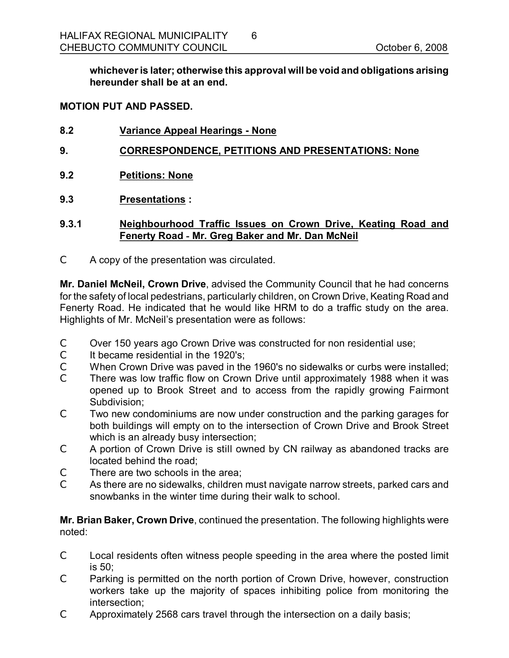**whicheveris later; otherwise this approval will be void and obligations arising hereunder shall be at an end.** 

#### **MOTION PUT AND PASSED.**

- **8.2 Variance Appeal Hearings None**
- **9. CORRESPONDENCE, PETITIONS AND PRESENTATIONS: None**
- **9.2 Petitions: None**
- **9.3 Presentations :**

#### **9.3.1 Neighbourhood Traffic Issues on Crown Drive, Keating Road and Fenerty Road Mr. Greg Baker and Mr. Dan McNeil**

C A copy of the presentation was circulated.

**Mr. Daniel McNeil, Crown Drive**, advised the Community Council that he had concerns for the safety of local pedestrians, particularly children, on Crown Drive, Keating Road and Fenerty Road. He indicated that he would like HRM to do a traffic study on the area. Highlights of Mr. McNeil's presentation were as follows:

- C Over 150 years ago Crown Drive was constructed for non residential use;
- $C \t{I}$  It became residential in the 1920's:
- C When Crown Drive was paved in the 1960's no sidewalks or curbs were installed;
- C There was low traffic flow on Crown Drive until approximately 1988 when it was opened up to Brook Street and to access from the rapidly growing Fairmont Subdivision;
- C Two new condominiums are now under construction and the parking garages for both buildings will empty on to the intersection of Crown Drive and Brook Street which is an already busy intersection;
- C A portion of Crown Drive is still owned by CN railway as abandoned tracks are located behind the road;
- C There are two schools in the area;
- C As there are no sidewalks, children must navigate narrow streets, parked cars and snowbanks in the winter time during their walk to school.

**Mr. Brian Baker, Crown Drive**, continued the presentation. The following highlights were noted:

- C Local residents often witness people speeding in the area where the posted limit is 50;
- C Parking is permitted on the north portion of Crown Drive, however, construction workers take up the majority of spaces inhibiting police from monitoring the intersection;
- C Approximately 2568 cars travel through the intersection on a daily basis;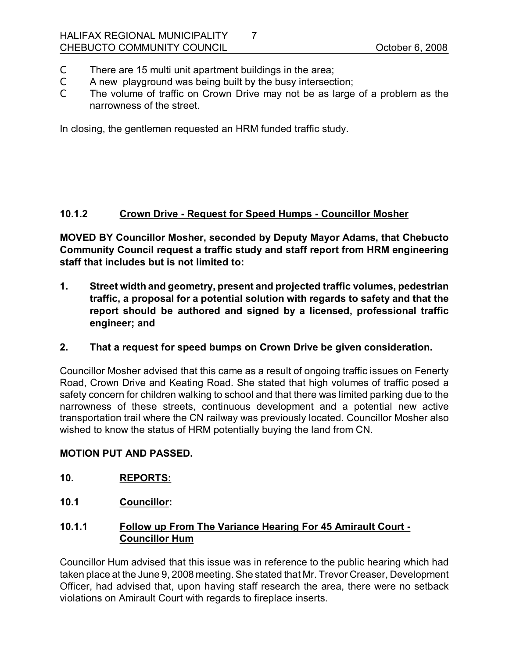- C There are 15 multi unit apartment buildings in the area;
- C A new playground was being built by the busy intersection;
- C The volume of traffic on Crown Drive may not be as large of a problem as the narrowness of the street.

7

In closing, the gentlemen requested an HRM funded traffic study.

## **10.1.2 Crown Drive Request for Speed Humps Councillor Mosher**

**MOVED BY Councillor Mosher, seconded by Deputy Mayor Adams, that Chebucto Community Council request a traffic study and staff report from HRM engineering staff that includes but is not limited to:**

- **1. Street width and geometry, present and projected traffic volumes, pedestrian traffic, a proposal for a potential solution with regards to safety and that the report should be authored and signed by a licensed, professional traffic engineer; and**
- **2. That a request for speed bumps on Crown Drive be given consideration.**

Councillor Mosher advised that this came as a result of ongoing traffic issues on Fenerty Road, Crown Drive and Keating Road. She stated that high volumes of traffic posed a safety concern for children walking to school and that there was limited parking due to the narrowness of these streets, continuous development and a potential new active transportation trail where the CN railway was previously located. Councillor Mosher also wished to know the status of HRM potentially buying the land from CN.

#### **MOTION PUT AND PASSED.**

- **10. REPORTS:**
- **10.1 Councillor:**

# **10.1.1 Follow up From The Variance Hearing For 45 Amirault Court Councillor Hum**

Councillor Hum advised that this issue was in reference to the public hearing which had taken place at the June 9, 2008 meeting. She stated that Mr. Trevor Creaser, Development Officer, had advised that, upon having staff research the area, there were no setback violations on Amirault Court with regards to fireplace inserts.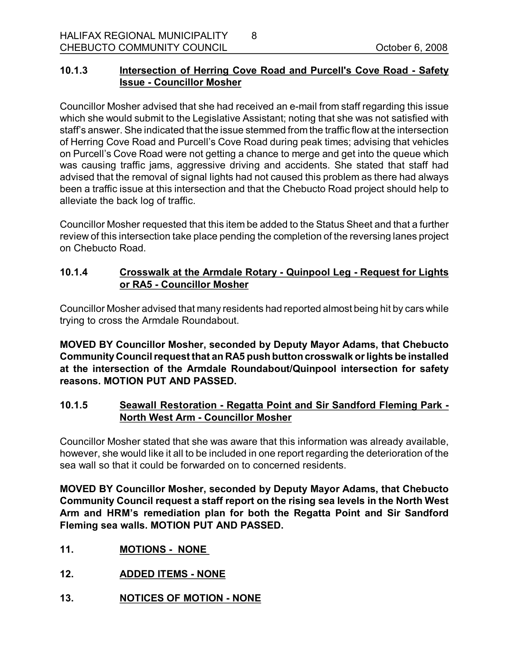# **10.1.3 Intersection of Herring Cove Road and Purcell's Cove Road Safety Issue Councillor Mosher**

8

Councillor Mosher advised that she had received an e-mail from staff regarding this issue which she would submit to the Legislative Assistant; noting that she was not satisfied with staff's answer. She indicated that the issue stemmed from the traffic flow at the intersection of Herring Cove Road and Purcell's Cove Road during peak times; advising that vehicles on Purcell's Cove Road were not getting a chance to merge and get into the queue which was causing traffic jams, aggressive driving and accidents. She stated that staff had advised that the removal of signal lights had not caused this problem as there had always been a traffic issue at this intersection and that the Chebucto Road project should help to alleviate the back log of traffic.

Councillor Mosher requested that this item be added to the Status Sheet and that a further review of this intersection take place pending the completion of the reversing lanes project on Chebucto Road.

## **10.1.4 Crosswalk at the Armdale Rotary Quinpool Leg Request for Lights or RA5 Councillor Mosher**

Councillor Mosher advised that many residents had reported almost being hit by cars while trying to cross the Armdale Roundabout.

**MOVED BY Councillor Mosher, seconded by Deputy Mayor Adams, that Chebucto CommunityCouncil request that an RA5 push buttoncrosswalk orlights be installed at the intersection of the Armdale Roundabout/Quinpool intersection for safety reasons. MOTION PUT AND PASSED.** 

# **10.1.5 Seawall Restoration Regatta Point and Sir Sandford Fleming Park North West Arm - Councillor Mosher**

Councillor Mosher stated that she was aware that this information was already available, however, she would like it all to be included in one report regarding the deterioration of the sea wall so that it could be forwarded on to concerned residents.

**MOVED BY Councillor Mosher, seconded by Deputy Mayor Adams, that Chebucto Community Council request a staff report on the rising sea levels in the North West Arm and HRM's remediation plan for both the Regatta Point and Sir Sandford Fleming sea walls. MOTION PUT AND PASSED.** 

- **11. MOTIONS NONE**
- **12. ADDED ITEMS NONE**
- **13. NOTICES OF MOTION NONE**